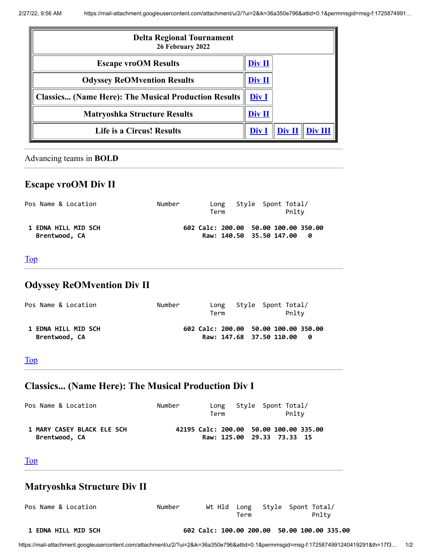<span id="page-0-4"></span>

| <b>Delta Regional Tournament</b><br>26 February 2022        |        |               |        |
|-------------------------------------------------------------|--------|---------------|--------|
| <b>Escape vroOM Results</b>                                 | Div II |               |        |
| <b>Odyssey ReOMvention Results</b>                          | Div II |               |        |
| <b>Classics (Name Here): The Musical Production Results</b> | Div I  |               |        |
| <b>Matryoshka Structure Results</b>                         | Div II |               |        |
| <b>Life is a Circus! Results</b>                            | Div 1  | <b>Div II</b> | Div II |

#### <span id="page-0-0"></span>Advancing teams in **BOLD**

## **Escape vroOM Div II**

| Pos Name & Location                         | Number | Term | Long Style Spont Total/<br>Pnltv                                   |  |
|---------------------------------------------|--------|------|--------------------------------------------------------------------|--|
| <b>1 EDNA HILL MID SCH</b><br>Brentwood, CA |        |      | 602 Calc: 200.00 50.00 100.00 350.00<br>Raw: 140.50 35.50 147.00 0 |  |

### <span id="page-0-1"></span>[Top](#page-0-4)

# **Odyssey ReOMvention Div II**

| Pos Name & Location                         | Number | Term | Long Style Spont Total/<br>Pnltv                                   |  |
|---------------------------------------------|--------|------|--------------------------------------------------------------------|--|
| <b>1 EDNA HILL MID SCH</b><br>Brentwood, CA |        |      | 602 Calc: 200.00 50.00 100.00 350.00<br>Raw: 147.68 37.50 110.00 0 |  |

### <span id="page-0-2"></span>[Top](#page-0-4)

# **Classics... (Name Here): The Musical Production Div I**

| Pos Name & Location                         | Number | Term | Long Style Spont Total/<br>Pnltv                                     |
|---------------------------------------------|--------|------|----------------------------------------------------------------------|
| 1 MARY CASEY BLACK ELE SCH<br>Brentwood, CA |        |      | 42195 Calc: 200.00 50.00 100.00 335.00<br>Raw: 125.00 29.33 73.33 15 |

#### <span id="page-0-3"></span>[Top](#page-0-4)

## **Matryoshka Structure Div II**

| Pos Name & Location        | Number | Term | Wt Hld Long Style Spont Total/<br>Pnltv     |
|----------------------------|--------|------|---------------------------------------------|
| <b>1 EDNA HILL MID SCH</b> |        |      | 602 Calc: 100.00 200.00 50.00 100.00 335.00 |